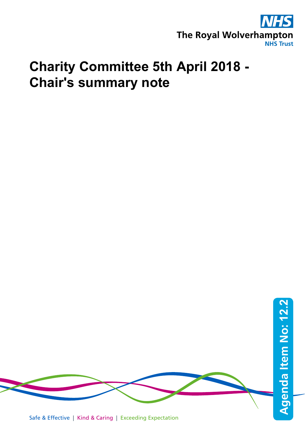

## **Charity Committee 5th April 2018 - Chair's summary note**

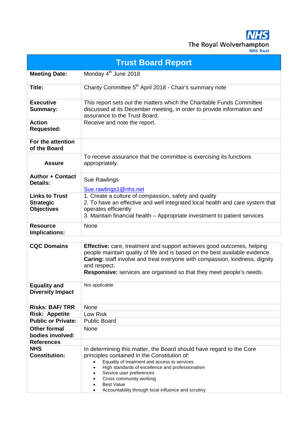**NHS** The Royal Wolverhampton

| <b>Trust Board Report</b>                                      |                                                                                                                                                                                                                                                                                                                                                                                                    |  |  |  |  |  |
|----------------------------------------------------------------|----------------------------------------------------------------------------------------------------------------------------------------------------------------------------------------------------------------------------------------------------------------------------------------------------------------------------------------------------------------------------------------------------|--|--|--|--|--|
| <b>Meeting Date:</b>                                           | Monday 4 <sup>th</sup> June 2018                                                                                                                                                                                                                                                                                                                                                                   |  |  |  |  |  |
| Title:                                                         | Charity Committee 5 <sup>th</sup> April 2018 - Chair's summary note                                                                                                                                                                                                                                                                                                                                |  |  |  |  |  |
| <b>Executive</b><br>Summary:                                   | This report sets out the matters which the Charitable Funds Committee<br>discussed at its December meeting, in order to provide information and<br>assurance to the Trust Board.                                                                                                                                                                                                                   |  |  |  |  |  |
| <b>Action</b><br><b>Requested:</b>                             | Receive and note the report.                                                                                                                                                                                                                                                                                                                                                                       |  |  |  |  |  |
| For the attention<br>of the Board                              |                                                                                                                                                                                                                                                                                                                                                                                                    |  |  |  |  |  |
| <b>Assure</b>                                                  | To receive assurance that the committee is exercising its functions<br>appropriately.                                                                                                                                                                                                                                                                                                              |  |  |  |  |  |
| <b>Author + Contact</b><br>Details:                            | Sue Rawlings<br>Sue.rawlings1@nhs.net                                                                                                                                                                                                                                                                                                                                                              |  |  |  |  |  |
| <b>Links to Trust</b><br><b>Strategic</b><br><b>Objectives</b> | 1. Create a culture of compassion, safety and quality<br>2. To have an effective and well integrated local health and care system that<br>operates efficiently<br>3. Maintain financial health – Appropriate investment to patient services                                                                                                                                                        |  |  |  |  |  |
| <b>Resource</b><br><b>Implications:</b>                        | None                                                                                                                                                                                                                                                                                                                                                                                               |  |  |  |  |  |
| <b>CQC Domains</b>                                             | <b>Effective:</b> care, treatment and support achieves good outcomes, helping<br>people maintain quality of life and is based on the best available evidence.<br>Caring: staff involve and treat everyone with compassion, kindness, dignity<br>and respect.<br><b>Responsive:</b> services are organised so that they meet people's needs.                                                        |  |  |  |  |  |
| <b>Equality and</b><br><b>Diversity Impact</b>                 | Not applicable                                                                                                                                                                                                                                                                                                                                                                                     |  |  |  |  |  |
| <b>Risks: BAF/TRR</b>                                          | None                                                                                                                                                                                                                                                                                                                                                                                               |  |  |  |  |  |
| <b>Risk: Appetite</b>                                          | Low Risk                                                                                                                                                                                                                                                                                                                                                                                           |  |  |  |  |  |
| <b>Public or Private:</b>                                      | <b>Public Board</b>                                                                                                                                                                                                                                                                                                                                                                                |  |  |  |  |  |
| <b>Other formal</b><br>bodies involved:                        | None                                                                                                                                                                                                                                                                                                                                                                                               |  |  |  |  |  |
| <b>References</b>                                              |                                                                                                                                                                                                                                                                                                                                                                                                    |  |  |  |  |  |
| <b>NHS</b><br><b>Constitution:</b>                             | In determining this matter, the Board should have regard to the Core<br>principles contained in the Constitution of:<br>Equality of treatment and access to services<br>$\bullet$<br>High standards of excellence and professionalism<br>$\bullet$<br>Service user preferences<br>$\bullet$<br>Cross community working<br><b>Best Value</b><br>Accountability through local influence and scrutiny |  |  |  |  |  |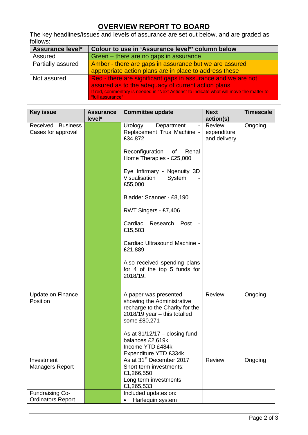## **OVERVIEW REPORT TO BOARD**

| The key headlines/issues and levels of assurance are set out below, and are graded as |                                                                                                             |  |  |  |  |  |
|---------------------------------------------------------------------------------------|-------------------------------------------------------------------------------------------------------------|--|--|--|--|--|
| follows:                                                                              |                                                                                                             |  |  |  |  |  |
| <b>Assurance level*</b>                                                               | Colour to use in 'Assurance level*' column below                                                            |  |  |  |  |  |
| Assured                                                                               | Green – there are no gaps in assurance                                                                      |  |  |  |  |  |
| Partially assured                                                                     | Amber - there are gaps in assurance but we are assured                                                      |  |  |  |  |  |
|                                                                                       | appropriate action plans are in place to address these                                                      |  |  |  |  |  |
| Not assured                                                                           | Red - there are significant gaps in assurance and we are not                                                |  |  |  |  |  |
|                                                                                       | assured as to the adequacy of current action plans                                                          |  |  |  |  |  |
|                                                                                       | If red, commentary is needed in "Next Actions" to indicate what will move the matter to<br>"full assurance" |  |  |  |  |  |

| <b>Key issue</b>                                   | <b>Assurance</b><br>level* | <b>Committee update</b>                                                                                                                                                                                                                                                                                                                                                                                             | <b>Next</b><br>action(s)              | <b>Timescale</b> |
|----------------------------------------------------|----------------------------|---------------------------------------------------------------------------------------------------------------------------------------------------------------------------------------------------------------------------------------------------------------------------------------------------------------------------------------------------------------------------------------------------------------------|---------------------------------------|------------------|
| Received Business<br>Cases for approval            |                            | Urology<br>Department<br>Replacement Trus Machine -<br>£34,872<br>Reconfiguration<br>of<br>Renal<br>Home Therapies - £25,000<br>Eye Infirmary - Ngenuity 3D<br>Visualisation<br>System<br>£55,000<br>Bladder Scanner - £8,190<br>RWT Singers - £7,406<br>Cardiac<br>Research Post<br>£15,503<br>Cardiac Ultrasound Machine -<br>£21,889<br>Also received spending plans<br>for 4 of the top 5 funds for<br>2018/19. | Review<br>expenditure<br>and delivery | Ongoing          |
| <b>Update on Finance</b><br>Position               |                            | A paper was presented<br>showing the Administrative<br>recharge to the Charity for the<br>$2018/19$ year $-$ this totalled<br>some £80,271<br>As at $31/12/17 -$ closing fund<br>balances £2,619k<br>Income YTD £484k<br>Expenditure YTD £334k                                                                                                                                                                      | Review                                | Ongoing          |
| Investment<br><b>Managers Report</b>               |                            | As at 31 <sup>st</sup> December 2017<br>Short term investments:<br>£1,266,550<br>Long term investments:<br>£1,265,533                                                                                                                                                                                                                                                                                               | Review                                | Ongoing          |
| <b>Fundraising Co-</b><br><b>Ordinators Report</b> |                            | Included updates on:<br>Harlequin system                                                                                                                                                                                                                                                                                                                                                                            |                                       |                  |